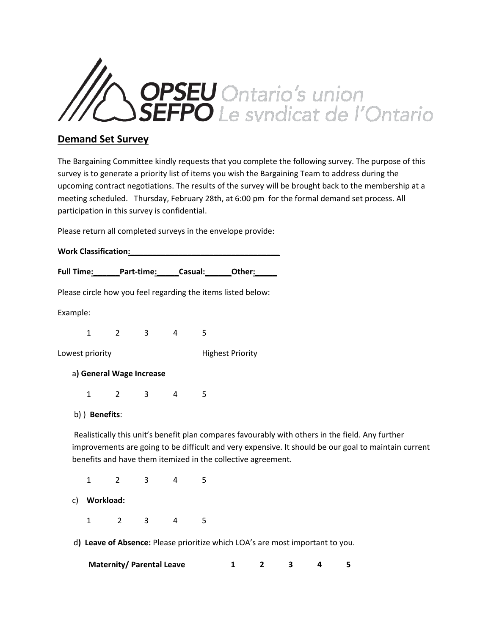

## **Demand Set Survey**

The Bargaining Committee kindly requests that you complete the following survey. The purpose of this survey is to generate a priority list of items you wish the Bargaining Team to address during the upcoming contract negotiations. The results of the survey will be brought back to the membership at a meeting scheduled. Thursday, February 28th, at 6:00 pm for the formal demand set process. All participation in this survey is confidential.

Please return all completed surveys in the envelope provide:

|          |                 | Full Time: Part-time: Casual: Other:<br>Please circle how you feel regarding the items listed below: |                                  |                |   |                                                                               |                |   |   |   |                                                                                                                                                                                                          |
|----------|-----------------|------------------------------------------------------------------------------------------------------|----------------------------------|----------------|---|-------------------------------------------------------------------------------|----------------|---|---|---|----------------------------------------------------------------------------------------------------------------------------------------------------------------------------------------------------------|
|          |                 |                                                                                                      |                                  |                |   |                                                                               |                |   |   |   |                                                                                                                                                                                                          |
| Example: |                 |                                                                                                      |                                  |                |   |                                                                               |                |   |   |   |                                                                                                                                                                                                          |
|          | $\mathbf{1}$    |                                                                                                      | $2 \t3 \t4$                      |                | 5 |                                                                               |                |   |   |   |                                                                                                                                                                                                          |
|          | Lowest priority |                                                                                                      |                                  |                |   | <b>Highest Priority</b>                                                       |                |   |   |   |                                                                                                                                                                                                          |
|          |                 |                                                                                                      | a) General Wage Increase         |                |   |                                                                               |                |   |   |   |                                                                                                                                                                                                          |
|          | $\mathbf{1}$    |                                                                                                      | $2 \qquad 3$                     | $\overline{4}$ | 5 |                                                                               |                |   |   |   |                                                                                                                                                                                                          |
|          | b) ) Benefits:  |                                                                                                      |                                  |                |   |                                                                               |                |   |   |   |                                                                                                                                                                                                          |
|          |                 |                                                                                                      |                                  |                |   | benefits and have them itemized in the collective agreement.                  |                |   |   |   | Realistically this unit's benefit plan compares favourably with others in the field. Any further<br>improvements are going to be difficult and very expensive. It should be our goal to maintain current |
|          | $\mathbf{1}$    | $2^{\circ}$                                                                                          | $3^{\circ}$                      | $\overline{4}$ | 5 |                                                                               |                |   |   |   |                                                                                                                                                                                                          |
| C)       | Workload:       |                                                                                                      |                                  |                |   |                                                                               |                |   |   |   |                                                                                                                                                                                                          |
|          | $\mathbf{1}$    | $2^{\circ}$                                                                                          | $\mathbf{3}$                     | 4              | 5 |                                                                               |                |   |   |   |                                                                                                                                                                                                          |
|          |                 |                                                                                                      |                                  |                |   | d) Leave of Absence: Please prioritize which LOA's are most important to you. |                |   |   |   |                                                                                                                                                                                                          |
|          |                 |                                                                                                      | <b>Maternity/ Parental Leave</b> |                |   | 1                                                                             | $\overline{2}$ | 3 | 4 | 5 |                                                                                                                                                                                                          |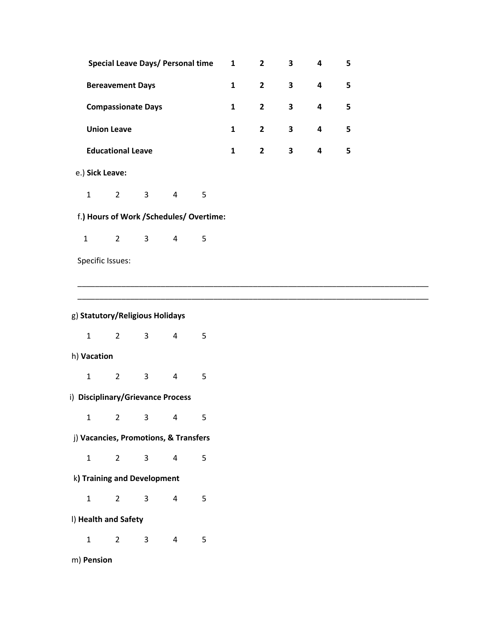|              |                                         |             |              | <b>Special Leave Days/ Personal time</b> |   | $\mathbf{1}$ | $\overline{2}$ | 3                       | 4                       | 5 |
|--------------|-----------------------------------------|-------------|--------------|------------------------------------------|---|--------------|----------------|-------------------------|-------------------------|---|
|              | <b>Bereavement Days</b>                 |             |              |                                          |   |              | $\overline{2}$ | $\overline{\mathbf{3}}$ | $\overline{\mathbf{4}}$ | 5 |
|              | <b>Compassionate Days</b>               |             |              |                                          |   |              | $\overline{2}$ | $\overline{\mathbf{3}}$ | 4                       | 5 |
|              | <b>Union Leave</b>                      |             |              |                                          |   |              | $\overline{2}$ | $\overline{\mathbf{3}}$ | $\overline{\mathbf{4}}$ | 5 |
|              | <b>Educational Leave</b>                |             |              |                                          |   |              | $\overline{2}$ | $\mathbf{3}$            | 4                       | 5 |
|              | e.) Sick Leave:                         |             |              |                                          |   |              |                |                         |                         |   |
|              | $\mathbf{1}$                            | $2^{\circ}$ | $\mathbf{3}$ | $\overline{4}$                           | 5 |              |                |                         |                         |   |
|              | f.) Hours of Work /Schedules/ Overtime: |             |              |                                          |   |              |                |                         |                         |   |
| $\mathbf{1}$ |                                         | $2^{\circ}$ | $\mathbf{3}$ | $\overline{4}$                           | 5 |              |                |                         |                         |   |
|              | Specific Issues:                        |             |              |                                          |   |              |                |                         |                         |   |
|              |                                         |             |              |                                          |   |              |                |                         |                         |   |
|              |                                         |             |              |                                          |   |              |                |                         |                         |   |
|              |                                         |             |              |                                          |   |              |                |                         |                         |   |

| g) Statutory/Religious Holidays       |   |                |                |   |   |  |  |  |  |
|---------------------------------------|---|----------------|----------------|---|---|--|--|--|--|
|                                       | 1 | 2              | 3              | 4 | 5 |  |  |  |  |
| h) Vacation                           |   |                |                |   |   |  |  |  |  |
|                                       | 1 | $\overline{2}$ | 3              | 4 | 5 |  |  |  |  |
| i) Disciplinary/Grievance Process     |   |                |                |   |   |  |  |  |  |
|                                       | 1 | $2^{\circ}$    | $\overline{3}$ | 4 | 5 |  |  |  |  |
| j) Vacancies, Promotions, & Transfers |   |                |                |   |   |  |  |  |  |
|                                       | 1 | $\overline{2}$ | 3              | 4 | 5 |  |  |  |  |
| k) Training and Development           |   |                |                |   |   |  |  |  |  |
|                                       | 1 | $\overline{2}$ | 3              | 4 | 5 |  |  |  |  |
| I) Health and Safety                  |   |                |                |   |   |  |  |  |  |
|                                       | 1 | $\overline{2}$ | 3              | 4 | 5 |  |  |  |  |
| m) Pension                            |   |                |                |   |   |  |  |  |  |